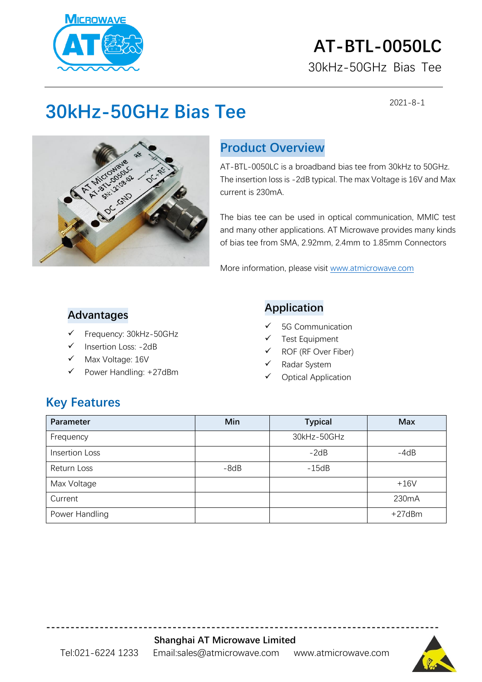

# **AT-BTL-0050LC**

30kHz-50GHz Bias Tee

2021-8-1

## **30kHz-50GHz Bias Tee**



### **Product Overview**

AT-BTL-0050LC is a broadband bias tee from 30kHz to 50GHz. The insertion loss is -2dB typical. The max Voltage is 16V and Max current is 230mA.

The bias tee can be used in optical communication, MMIC test and many other applications. AT Microwave provides many kinds of bias tee from SMA, 2.92mm, 2.4mm to 1.85mm Connectors

More information, please visit [www.atmicrowave.com](http://www.atmicrowave.com/)

#### **Advantages**

- Frequency: 30kHz-50GHz
- Insertion Loss: -2dB
- Max Voltage: 16V
- Power Handling: +27dBm

#### **Application**

- ✓ 5G Communication
- Test Equipment
- ✓ ROF (RF Over Fiber)
- Radar System
- ✓ Optical Application

#### **Key Features**

| Parameter             | Min    | <b>Typical</b> | <b>Max</b> |
|-----------------------|--------|----------------|------------|
| Frequency             |        | 30kHz-50GHz    |            |
| <b>Insertion Loss</b> |        | $-2dB$         | $-4dB$     |
| Return Loss           | $-8dB$ | $-15dB$        |            |
| Max Voltage           |        |                | $+16V$     |
| Current               |        |                | 230mA      |
| Power Handling        |        |                | +27dBm     |

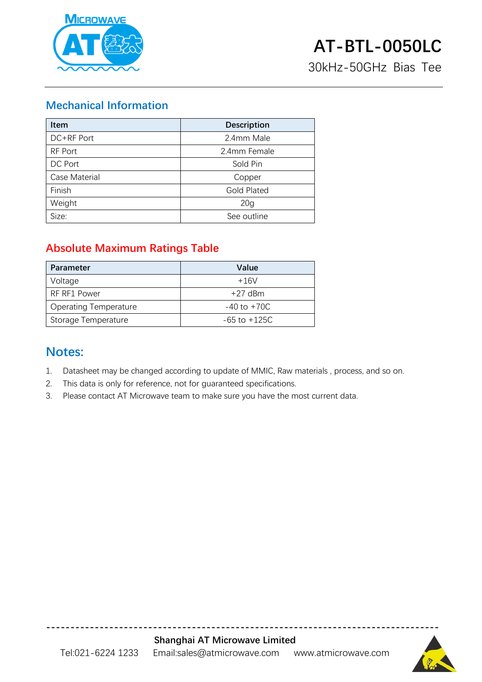

30kHz-50GHz Bias Tee

#### **Mechanical Information**

| <b>Item</b>   | <b>Description</b> |  |
|---------------|--------------------|--|
| DC+RF Port    | 2.4mm Male         |  |
| RF Port       | 2.4mm Female       |  |
| DC Port       | Sold Pin           |  |
| Case Material | Copper             |  |
| Finish        | <b>Gold Plated</b> |  |
| Weight        | 20 <sub>g</sub>    |  |
| Size:         | See outline        |  |

#### **Absolute Maximum Ratings Table**

| <b>Parameter</b>             | Value            |
|------------------------------|------------------|
| Voltage                      | $+16V$           |
| RF RF1 Power                 | $+27$ dBm        |
| <b>Operating Temperature</b> | $-40$ to $+70C$  |
| Storage Temperature          | $-65$ to $+125C$ |

#### **Notes:**

- 1. Datasheet may be changed according to update of MMIC, Raw materials , process, and so on.
- 2. This data is only for reference, not for guaranteed specifications.
- 3. Please contact AT Microwave team to make sure you have the most current data.



**---------------------------------------------------------------------------------**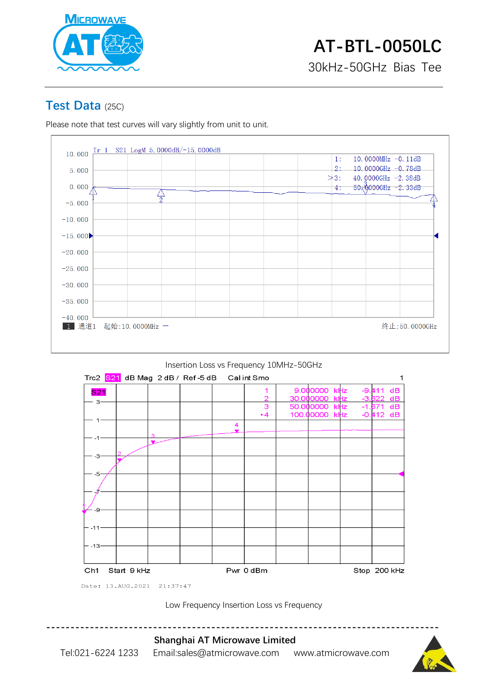

#### **Test Data** (25C)

Please note that test curves will vary slightly from unit to unit.



#### Insertion Loss vs Frequency 10MHz-50GHz



Low Frequency Insertion Loss vs Frequency



Tel:021-6224 1233 Email:sales@atmicrowave.com www.atmicrowave.com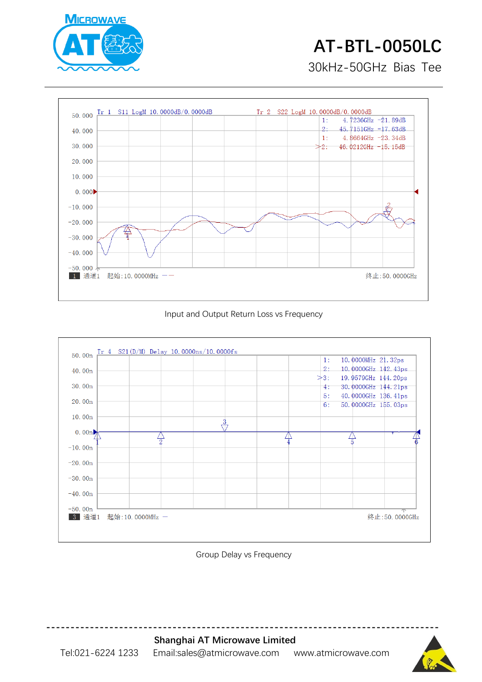

# **AT-BTL-0050LC**

30kHz-50GHz Bias Tee



#### Input and Output Return Loss vs Frequency



Group Delay vs Frequency